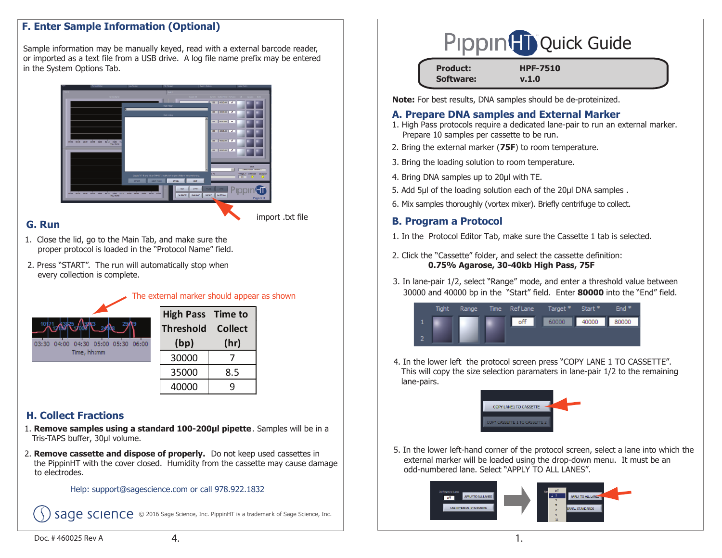# **F. Enter Sample Information (Optional)**

Sample information may be manually keyed, read with a external barcode reader, or imported as a text file from a USB drive. A log file name prefix may be entered in the System Options Tab.



#### **G. Run**

import .txt file

- 1. Close the lid, go to the Main Tab, and make sure the proper protocol is loaded in the "Protocol Name" field.
- 2. Press "START". The run will automatically stop when every collection is complete.

The external marker should appear as shown



| <b>High Pass</b> | <b>Time to</b> |  |
|------------------|----------------|--|
| <b>Threshold</b> | <b>Collect</b> |  |
| (bp)             | (hr)           |  |
| 30000            |                |  |
| 35000            | 8.5            |  |
| 40000            | q              |  |

# **H. Collect Fractions**

- Tris-TAPS buffer, 30µl volume. 1. **Remove samples using a standard 100-200µl pipette**. Samples will be in a
- 2. **Remove cassette and dispose of properly.** Do not keep used cassettes in the PippinHT with the cover closed. Humidity from the cassette may cause damage to electrodes.

#### Help: support@sagescience.com or call 978.922.1832

Sage Science, Inc. 2016 Sage Science, Inc. PippinHT is a trademark of Sage Science, Inc.

| Pippin <sup>(T</sup> i) Quick Guide |  |
|-------------------------------------|--|
|                                     |  |

| <b>Product:</b>  | <b>HPF-7510</b> |
|------------------|-----------------|
| <b>Software:</b> | v.1.0           |

**Note:** For best results, DNA samples should be de-proteinized.

#### **A. Prepare DNA samples and External Marker**

- 1. High Pass protocols require a dedicated lane-pair to run an external marker. Prepare 10 samples per cassette to be run.
- 2. Bring the external marker (**75F**) to room temperature.
- 3. Bring the loading solution to room temperature.
- 4. Bring DNA samples up to 20μl with TE.
- 5. Add 5μl of the loading solution each of the 20μl DNA samples.
- 6. Mix samples thoroughly (vortex mixer). Briefly centrifuge to collect.

# **B. Program a Protocol**

- 1. In the Protocol Editor Tab, make sure the Cassette 1 tab is selected.
- 2. Click the "Cassette" folder, and select the cassette definition:  **0.75% Agarose, 30-40kb High Pass, 75F**
- 3. In lane-pair 1/2, select "Range" mode, and enter a threshold value between 30000 and 40000 bp in the "Start" field. Enter **<sup>80000</sup>**into the "End" field.

| <b>Tight</b> |  |     | Range Time RefLane Target * Start * |                   | End $*$ |
|--------------|--|-----|-------------------------------------|-------------------|---------|
|              |  | off |                                     | 60000 40000 80000 |         |
|              |  |     |                                     |                   |         |

4. In the lower left the protocol screen press "COPY LANE 1 TO CASSETTE". This will copy the size selection paramaters in lane-pair 1/2 to the remaining lane-pairs.



5. In the lower left-hand corner of the protocol screen, select a lane into which the external marker will be loaded using the drop-down menu. It must be an odd-numbered lane. Select "APPLY TO ALL LANES".